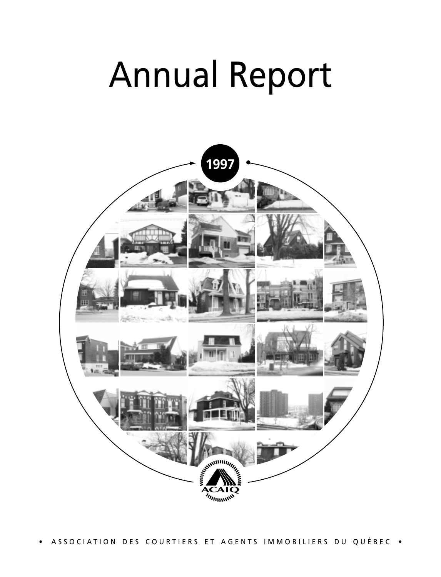# Annual Report



• ASSOCIATION DES COURTIERS ET AGENTS IMMOBILIERS DU QUÉBEC •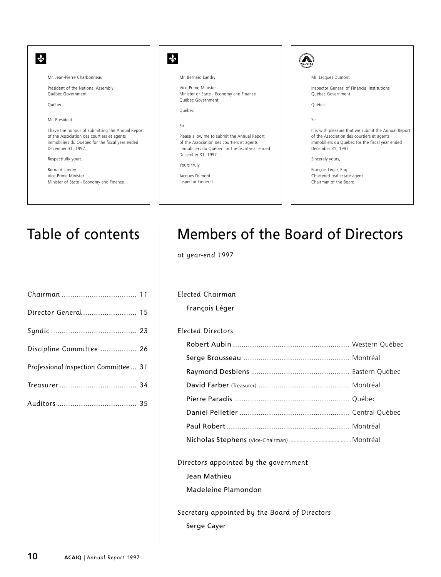

# Table of contents

| Discipline Committee  26              |  |
|---------------------------------------|--|
| Professional Inspection Committee  31 |  |
|                                       |  |
|                                       |  |

# Members of the Board of Directors

*at year-end 1997*

#### *Elected Chairman*

François Léger

#### *Elected Directors*

#### *Directors appointed by the government*

Jean Mathieu

Madeleine Plamondon

*Secretary appointed by the Board of Directors* Serge Cayer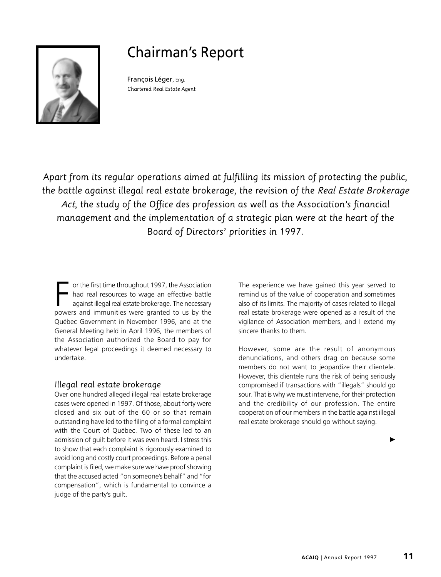# Chairman's Report



François Léger, Eng. *Chartered Real Estate Agent*

*Apart from its regular operations aimed at fulfilling its mission of protecting the public, the battle against illegal real estate brokerage, the revision of the Real Estate Brokerage Act, the study of the Office des profession as well as the Association's financial management and the implementation of a strategic plan were at the heart of the Board of Directors' priorities in 1997.*

F or the first time throughout 1997, the Association<br>had real resources to wage an effective battle<br>against illegal real estate brokerage. The necessary<br>powers and immunities were granted to us by the had real resources to wage an effective battle against illegal real estate brokerage. The necessary powers and immunities were granted to us by the Québec Government in November 1996, and at the General Meeting held in April 1996, the members of the Association authorized the Board to pay for whatever legal proceedings it deemed necessary to undertake.

# *Illegal real estate brokerage*

Over one hundred alleged illegal real estate brokerage cases were opened in 1997. Of those, about forty were closed and six out of the 60 or so that remain outstanding have led to the filing of a formal complaint with the Court of Québec. Two of these led to an admission of guilt before it was even heard. I stress this to show that each complaint is rigorously examined to avoid long and costly court proceedings. Before a penal complaint is filed, we make sure we have proof showing that the accused acted "on someone's behalf" and "for compensation", which is fundamental to convince a judge of the party's guilt.

The experience we have gained this year served to remind us of the value of cooperation and sometimes also of its limits. The majority of cases related to illegal real estate brokerage were opened as a result of the vigilance of Association members, and I extend my sincere thanks to them.

However, some are the result of anonymous denunciations, and others drag on because some members do not want to jeopardize their clientele. However, this clientele runs the risk of being seriously compromised if transactions with "illegals" should go sour. That is why we must intervene, for their protection and the credibility of our profession. The entire cooperation of our members in the battle against illegal real estate brokerage should go without saying.

 $\ddot{\phantom{1}}$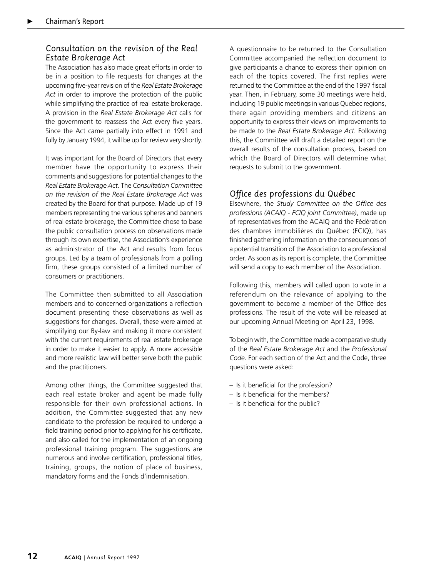# *Consultation on the revision of the Real Estate Brokerage Act*

The Association has also made great efforts in order to be in a position to file requests for changes at the upcoming five-year revision of the *Real Estate Brokerage Act* in order to improve the protection of the public while simplifying the practice of real estate brokerage. A provision in the *Real Estate Brokerage Act* calls for the government to reassess the Act every five years. Since the Act came partially into effect in 1991 and fully by January 1994, it will be up for review very shortly.

It was important for the Board of Directors that every member have the opportunity to express their comments and suggestions for potential changes to the *Real Estate Brokerage Act*. The *Consultation Committee on the revision of the Real Estate Brokerage Act* was created by the Board for that purpose. Made up of 19 members representing the various spheres and banners of real estate brokerage, the Committee chose to base the public consultation process on observations made through its own expertise, the Association's experience as administrator of the Act and results from focus groups. Led by a team of professionals from a polling firm, these groups consisted of a limited number of consumers or practitioners.

The Committee then submitted to all Association members and to concerned organizations a reflection document presenting these observations as well as suggestions for changes. Overall, these were aimed at simplifying our By-law and making it more consistent with the current requirements of real estate brokerage in order to make it easier to apply. A more accessible and more realistic law will better serve both the public and the practitioners.

Among other things, the Committee suggested that each real estate broker and agent be made fully responsible for their own professional actions. In addition, the Committee suggested that any new candidate to the profession be required to undergo a field training period prior to applying for his certificate, and also called for the implementation of an ongoing professional training program. The suggestions are numerous and involve certification, professional titles, training, groups, the notion of place of business, mandatory forms and the Fonds d'indemnisation.

A questionnaire to be returned to the Consultation Committee accompanied the reflection document to give participants a chance to express their opinion on each of the topics covered. The first replies were returned to the Committee at the end of the 1997 fiscal year. Then, in February, some 30 meetings were held, including 19 public meetings in various Quebec regions, there again providing members and citizens an opportunity to express their views on improvements to be made to the *Real Estate Brokerage Act*. Following this, the Committee will draft a detailed report on the overall results of the consultation process, based on which the Board of Directors will determine what requests to submit to the government.

# *Office des professions du Québec*

Elsewhere, the *Study Committee on the Office des professions (ACAIQ - FCIQ joint Committee)*, made up of representatives from the ACAIQ and the Fédération des chambres immobilières du Québec (FCIQ), has finished gathering information on the consequences of a potential transition of the Association to a professional order. As soon as its report is complete, the Committee will send a copy to each member of the Association.

Following this, members will called upon to vote in a referendum on the relevance of applying to the government to become a member of the Office des professions. The result of the vote will be released at our upcoming Annual Meeting on April 23, 1998.

To begin with, the Committee made a comparative study of the *Real Estate Brokerage Act* and the *Professional Code*. For each section of the Act and the Code, three questions were asked:

- Is it beneficial for the profession?
- Is it beneficial for the members?
- Is it beneficial for the public?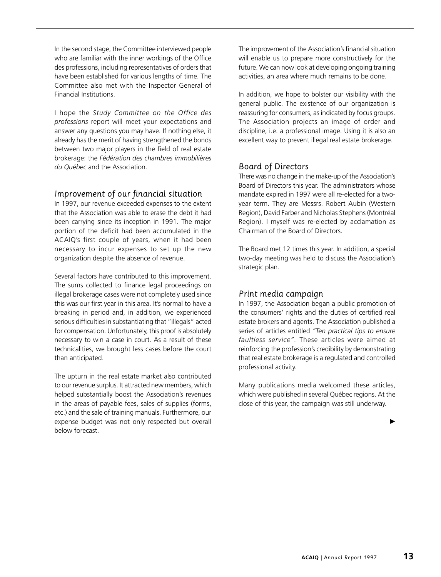In the second stage, the Committee interviewed people who are familiar with the inner workings of the Office des professions, including representatives of orders that have been established for various lengths of time. The Committee also met with the Inspector General of Financial Institutions.

I hope the *Study Committee on the Office des professions* report will meet your expectations and answer any questions you may have. If nothing else, it already has the merit of having strengthened the bonds between two major players in the field of real estate brokerage: the *Fédération des chambres immobilières du Québec* and the Association.

### *Improvement of our financial situation*

In 1997, our revenue exceeded expenses to the extent that the Association was able to erase the debt it had been carrying since its inception in 1991. The major portion of the deficit had been accumulated in the ACAIQ's first couple of years, when it had been necessary to incur expenses to set up the new organization despite the absence of revenue.

Several factors have contributed to this improvement. The sums collected to finance legal proceedings on illegal brokerage cases were not completely used since this was our first year in this area. It's normal to have a breaking in period and, in addition, we experienced serious difficulties in substantiating that "illegals" acted for compensation. Unfortunately, this proof is absolutely necessary to win a case in court. As a result of these technicalities, we brought less cases before the court than anticipated.

The upturn in the real estate market also contributed to our revenue surplus. It attracted new members, which helped substantially boost the Association's revenues in the areas of payable fees, sales of supplies (forms, etc.) and the sale of training manuals. Furthermore, our expense budget was not only respected but overall below forecast.

The improvement of the Association's financial situation will enable us to prepare more constructively for the future. We can now look at developing ongoing training activities, an area where much remains to be done.

In addition, we hope to bolster our visibility with the general public. The existence of our organization is reassuring for consumers, as indicated by focus groups. The Association projects an image of order and discipline, i.e. a professional image. Using it is also an excellent way to prevent illegal real estate brokerage.

# *Board of Directors*

There was no change in the make-up of the Association's Board of Directors this year. The administrators whose mandate expired in 1997 were all re-elected for a twoyear term. They are Messrs. Robert Aubin (Western Region), David Farber and Nicholas Stephens (Montréal Region). I myself was re-elected by acclamation as Chairman of the Board of Directors.

The Board met 12 times this year. In addition, a special two-day meeting was held to discuss the Association's strategic plan.

# *Print media campaign*

In 1997, the Association began a public promotion of the consumers' rights and the duties of certified real estate brokers and agents. The Association published a series of articles entitled *"Ten practical tips to ensure faultless service"*. These articles were aimed at reinforcing the profession's credibility by demonstrating that real estate brokerage is a regulated and controlled professional activity.

Many publications media welcomed these articles, which were published in several Québec regions. At the close of this year, the campaign was still underway.

▶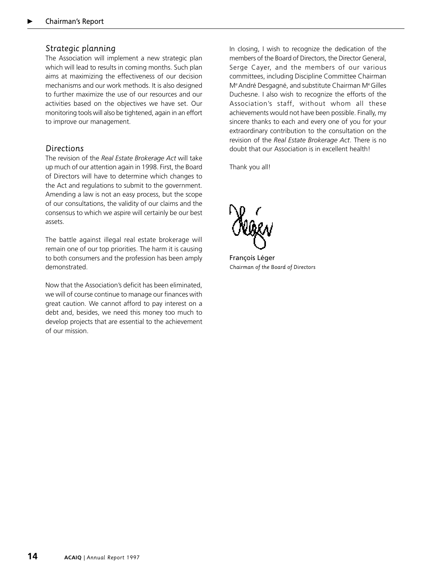### *Strategic planning*

The Association will implement a new strategic plan which will lead to results in coming months. Such plan aims at maximizing the effectiveness of our decision mechanisms and our work methods. It is also designed to further maximize the use of our resources and our activities based on the objectives we have set. Our monitoring tools will also be tightened, again in an effort to improve our management.

# *Directions*

The revision of the *Real Estate Brokerage Act* will take up much of our attention again in 1998. First, the Board of Directors will have to determine which changes to the Act and regulations to submit to the government. Amending a law is not an easy process, but the scope of our consultations, the validity of our claims and the consensus to which we aspire will certainly be our best assets.

The battle against illegal real estate brokerage will remain one of our top priorities. The harm it is causing to both consumers and the profession has been amply demonstrated.

Now that the Association's deficit has been eliminated, we will of course continue to manage our finances with great caution. We cannot afford to pay interest on a debt and, besides, we need this money too much to develop projects that are essential to the achievement of our mission.

In closing, I wish to recognize the dedication of the members of the Board of Directors, the Director General, Serge Cayer, and the members of our various committees, including Discipline Committee Chairman Me André Desgagné, and substitute Chairman Me Gilles Duchesne. I also wish to recognize the efforts of the Association's staff, without whom all these achievements would not have been possible. Finally, my sincere thanks to each and every one of you for your extraordinary contribution to the consultation on the revision of the *Real Estate Brokerage Act*. There is no doubt that our Association is in excellent health!

Thank you all!

François Léger *Chairman of the Board of Directors*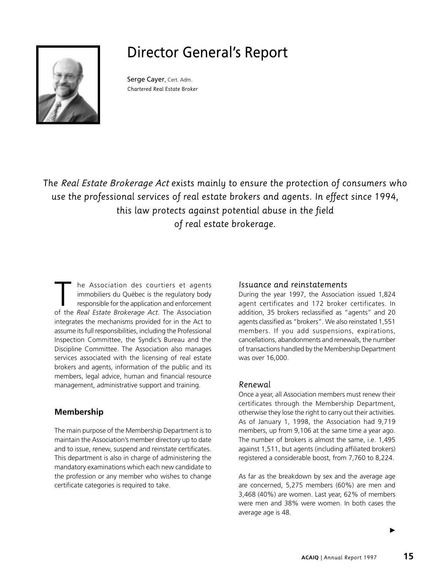# Director General's Report



Serge Cayer, Cert. Adm. *Chartered Real Estate Broker*

*The Real Estate Brokerage Act exists mainly to ensure the protection of consumers who use the professional services of real estate brokers and agents. In effect since 1994, this law protects against potential abuse in the field of real estate brokerage.*

he Association des courtiers et agents immobiliers du Québec is the regulatory body responsible for the application and enforcement of the *Real Estate Brokerage Act*. The Association integrates the mechanisms provided for in the Act to assume its full responsibilities, including the Professional Inspection Committee, the Syndic's Bureau and the Discipline Committee. The Association also manages services associated with the licensing of real estate brokers and agents, information of the public and its members, legal advice, human and financial resource management, administrative support and training.

# **Membership**

The main purpose of the Membership Department is to maintain the Association's member directory up to date and to issue, renew, suspend and reinstate certificates. This department is also in charge of administering the mandatory examinations which each new candidate to the profession or any member who wishes to change certificate categories is required to take.

#### *Issuance and reinstatements*

During the year 1997, the Association issued 1,824 agent certificates and 172 broker certificates. In addition, 35 brokers reclassified as "agents" and 20 agents classified as "brokers". We also reinstated 1,551 members. If you add suspensions, expirations, cancellations, abandonments and renewals, the number of transactions handled by the Membership Department was over 16,000.

#### *Renewal*

Once a year, all Association members must renew their certificates through the Membership Department, otherwise they lose the right to carry out their activities. As of January 1, 1998, the Association had 9,719 members, up from 9,106 at the same time a year ago. The number of brokers is almost the same, i.e. 1,495 against 1,511, but agents (including affiliated brokers) registered a considerable boost, from 7,760 to 8,224.

As far as the breakdown by sex and the average age are concerned, 5,275 members (60%) are men and 3,468 (40%) are women. Last year, 62% of members were men and 38% were women. In both cases the average age is 48.

 $\blacktriangleright$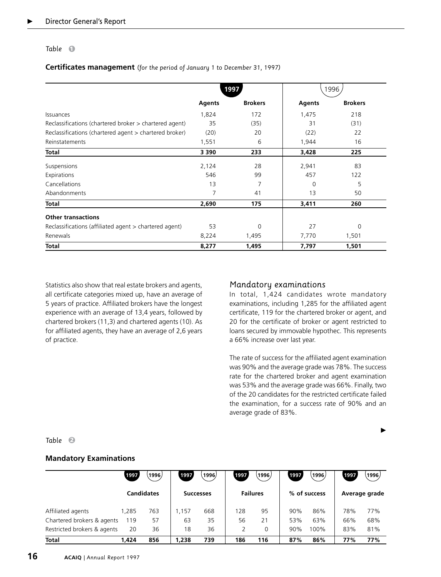#### Table  $\bigcirc$

**Certificates management** *(for the period of January 1 to December 31, 1997)*

|                                                          |               | 1997           |               | 1996           |
|----------------------------------------------------------|---------------|----------------|---------------|----------------|
|                                                          | <b>Agents</b> | <b>Brokers</b> | <b>Agents</b> | <b>Brokers</b> |
| Issuances                                                | 1,824         | 172            | 1,475         | 218            |
| Reclassifications (chartered broker > chartered agent)   | 35            | (35)           | 31            | (31)           |
| Reclassifications (chartered agent > chartered broker)   | (20)          | 20             | (22)          | 22             |
| Reinstatements                                           | 1,551         | 6              | 1,944         | 16             |
| Total                                                    | 3 3 9 0       | 233            | 3,428         | 225            |
| Suspensions                                              | 2,124         | 28             | 2,941         | 83             |
| Expirations                                              | 546           | 99             | 457           | 122            |
| Cancellations                                            | 13            | 7              | $\Omega$      | 5              |
| Abandonments                                             | 7             | 41             | 13            | 50             |
| Total                                                    | 2,690         | 175            | 3,411         | 260            |
| <b>Other transactions</b>                                |               |                |               |                |
| Reclassifications (affiliated agent $>$ chartered agent) | 53            | 0              | 27            | $\Omega$       |
| Renewals                                                 | 8,224         | 1,495          | 7,770         | 1,501          |
| Total                                                    | 8,277         | 1,495          | 7,797         | 1,501          |

Statistics also show that real estate brokers and agents, all certificate categories mixed up, have an average of 5 years of practice. Affiliated brokers have the longest experience with an average of 13,4 years, followed by chartered brokers (11,3) and chartered agents (10). As for affiliated agents, they have an average of 2,6 years of practice.

### *Mandatory examinations*

In total, 1,424 candidates wrote mandatory examinations, including 1,285 for the affiliated agent certificate, 119 for the chartered broker or agent, and 20 for the certificate of broker or agent restricted to loans secured by immovable hypothec. This represents a 66% increase over last year.

The rate of success for the affiliated agent examination was 90% and the average grade was 78%. The success rate for the chartered broker and agent examination was 53% and the average grade was 66%. Finally, two of the 20 candidates for the restricted certificate failed the examination, for a success rate of 90% and an average grade of 83%.

 $\blacktriangleright$ 

#### *Table* **2**

#### **Mandatory Examinations**

|                             | 1997  | 1996              | 1997  | .1996)           | 1997 | (1996)          | 1997 | 1996         | 1997 | 1996.         |
|-----------------------------|-------|-------------------|-------|------------------|------|-----------------|------|--------------|------|---------------|
|                             |       | <b>Candidates</b> |       | <b>Successes</b> |      | <b>Failures</b> |      | % of success |      | Average grade |
| Affiliated agents           | .285  | 763               | .157  | 668              | 128  | 95              | 90%  | 86%          | 78%  | 77%           |
| Chartered brokers & agents  | 119   | 57                | 63    | 35               | 56   | 21              | 53%  | 63%          | 66%  | 68%           |
| Restricted brokers & agents | 20    | 36                | 18    | 36               |      | $\Omega$        | 90%  | 100%         | 83%  | 81%           |
| <b>Total</b>                | 1.424 | 856               | 1,238 | 739              | 186  | 116             | 87%  | 86%          | 77%  | 77%           |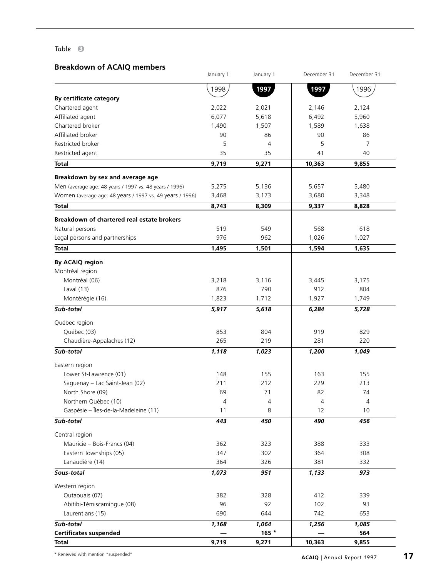### *Table* **3**

# **Breakdown of ACAIQ members**

| DI CARUVINI UI ALAIQ INCINDEIS                           | January 1 | January 1 | December 31 | December 31 |
|----------------------------------------------------------|-----------|-----------|-------------|-------------|
|                                                          | 1998      | 1997      | 1997        | 1996        |
| By certificate category                                  |           |           |             |             |
| Chartered agent                                          | 2,022     | 2,021     | 2,146       | 2,124       |
| Affiliated agent                                         | 6,077     | 5,618     | 6,492       | 5,960       |
| Chartered broker                                         | 1,490     | 1,507     | 1,589       | 1,638       |
| Affiliated broker                                        | 90        | 86        | 90          | 86          |
| Restricted broker                                        | 5         | 4         | 5           | 7           |
| Restricted agent                                         | 35        | 35        | 41          | 40          |
| <b>Total</b>                                             | 9,719     | 9,271     | 10,363      | 9,855       |
| Breakdown by sex and average age                         |           |           |             |             |
| Men (average age: 48 years / 1997 vs. 48 years / 1996)   | 5,275     | 5,136     | 5,657       | 5,480       |
| Women (average age: 48 years / 1997 vs. 49 years / 1996) | 3,468     | 3,173     | 3,680       | 3,348       |
| Total                                                    | 8,743     | 8,309     | 9,337       | 8,828       |
|                                                          |           |           |             |             |
| Breakdown of chartered real estate brokers               |           |           |             |             |
| Natural persons                                          | 519       | 549       | 568         | 618         |
| Legal persons and partnerships                           | 976       | 962       | 1,026       | 1,027       |
| <b>Total</b>                                             | 1,495     | 1,501     | 1,594       | 1,635       |
| By ACAIQ region                                          |           |           |             |             |
| Montréal region                                          |           |           |             |             |
| Montréal (06)                                            | 3,218     | 3,116     | 3,445       | 3,175       |
| Laval $(13)$                                             | 876       | 790       | 912         | 804         |
| Montérégie (16)                                          | 1,823     | 1,712     | 1,927       | 1,749       |
| Sub-total                                                | 5,917     | 5,618     | 6,284       | 5,728       |
| Québec region                                            |           |           |             |             |
| Québec (03)                                              | 853       | 804       | 919         | 829         |
| Chaudière-Appalaches (12)                                | 265       | 219       | 281         | 220         |
| Sub-total                                                | 1,118     | 1,023     | 1,200       | 1,049       |
| Eastern region                                           |           |           |             |             |
| Lower St-Lawrence (01)                                   | 148       | 155       | 163         | 155         |
| Saguenay - Lac Saint-Jean (02)                           | 211       | 212       | 229         | 213         |
| North Shore (09)                                         | 69        | 71        | 82          | 74          |
| Northern Québec (10)                                     | 4         | 4         | 4           | 4           |
| Gaspésie – Îles-de-la-Madeleine (11)                     | 11        | 8         | 12          | 10          |
| Sub-total                                                | 443       | 450       | 490         | 456         |
| Central region                                           |           |           |             |             |
| Mauricie - Bois-Francs (04)                              | 362       | 323       | 388         | 333         |
| Eastern Townships (05)                                   | 347       | 302       | 364         | 308         |
| Lanaudière (14)                                          | 364       | 326       | 381         | 332         |
| Sous-total                                               | 1,073     | 951       | 1,133       | 973         |
|                                                          |           |           |             |             |
| Western region                                           |           |           |             |             |
| Outaouais (07)                                           | 382       | 328       | 412         | 339         |
| Abitibi-Témiscamingue (08)                               | 96        | 92        | 102         | 93          |
| Laurentians (15)                                         | 690       | 644       | 742         | 653         |
| Sub-total                                                | 1,168     | 1,064     | 1,256       | 1,085       |
| <b>Certificates suspended</b>                            |           | $165 *$   |             | 564         |
| <b>Total</b>                                             | 9,719     | 9,271     | 10,363      | 9,855       |

\* Renewed with mention "suspended"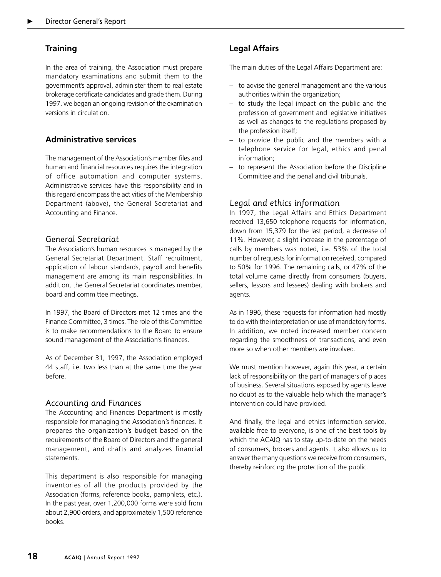# **Training**

In the area of training, the Association must prepare mandatory examinations and submit them to the government's approval, administer them to real estate brokerage certificate candidates and grade them. During 1997, we began an ongoing revision of the examination versions in circulation.

# **Administrative services**

The management of the Association's member files and human and financial resources requires the integration of office automation and computer systems. Administrative services have this responsibility and in this regard encompass the activities of the Membership Department (above), the General Secretariat and Accounting and Finance.

### *General Secretariat*

The Association's human resources is managed by the General Secretariat Department. Staff recruitment, application of labour standards, payroll and benefits management are among its main responsibilities. In addition, the General Secretariat coordinates member, board and committee meetings.

In 1997, the Board of Directors met 12 times and the Finance Committee, 3 times. The role of this Committee is to make recommendations to the Board to ensure sound management of the Association's finances.

As of December 31, 1997, the Association employed 44 staff, i.e. two less than at the same time the year before.

# *Accounting and Finances*

The Accounting and Finances Department is mostly responsible for managing the Association's finances. It prepares the organization's budget based on the requirements of the Board of Directors and the general management, and drafts and analyzes financial statements.

This department is also responsible for managing inventories of all the products provided by the Association (forms, reference books, pamphlets, etc.). In the past year, over 1,200,000 forms were sold from about 2,900 orders, and approximately 1,500 reference books.

The main duties of the Legal Affairs Department are:

- to advise the general management and the various authorities within the organization;
- to study the legal impact on the public and the profession of government and legislative initiatives as well as changes to the regulations proposed by the profession itself;
- to provide the public and the members with a telephone service for legal, ethics and penal information;
- to represent the Association before the Discipline Committee and the penal and civil tribunals.

### *Legal and ethics information*

In 1997, the Legal Affairs and Ethics Department received 13,650 telephone requests for information, down from 15,379 for the last period, a decrease of 11%. However, a slight increase in the percentage of calls by members was noted, i.e. 53% of the total number of requests for information received, compared to 50% for 1996. The remaining calls, or 47% of the total volume came directly from consumers (buyers, sellers, lessors and lessees) dealing with brokers and agents.

As in 1996, these requests for information had mostly to do with the interpretation or use of mandatory forms. In addition, we noted increased member concern regarding the smoothness of transactions, and even more so when other members are involved.

We must mention however, again this year, a certain lack of responsibility on the part of managers of places of business. Several situations exposed by agents leave no doubt as to the valuable help which the manager's intervention could have provided.

And finally, the legal and ethics information service, available free to everyone, is one of the best tools by which the ACAIQ has to stay up-to-date on the needs of consumers, brokers and agents. It also allows us to answer the many questions we receive from consumers, thereby reinforcing the protection of the public.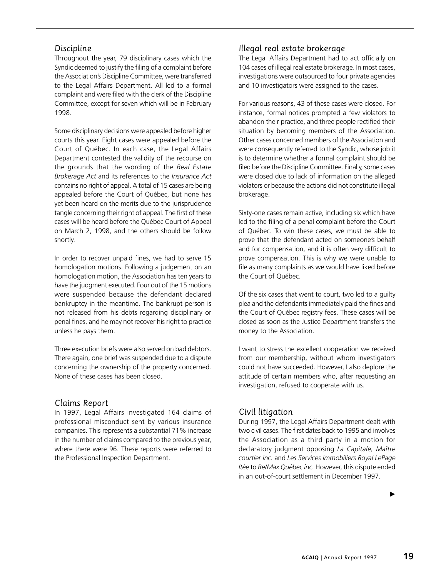### *Discipline*

Throughout the year, 79 disciplinary cases which the Syndic deemed to justify the filing of a complaint before the Association's Discipline Committee, were transferred to the Legal Affairs Department. All led to a formal complaint and were filed with the clerk of the Discipline Committee, except for seven which will be in February 1998.

Some disciplinary decisions were appealed before higher courts this year. Eight cases were appealed before the Court of Québec. In each case, the Legal Affairs Department contested the validity of the recourse on the grounds that the wording of the *Real Estate Brokerage Act* and its references to the *Insurance Act* contains no right of appeal. A total of 15 cases are being appealed before the Court of Québec, but none has yet been heard on the merits due to the jurisprudence tangle concerning their right of appeal. The first of these cases will be heard before the Québec Court of Appeal on March 2, 1998, and the others should be follow shortly.

In order to recover unpaid fines, we had to serve 15 homologation motions. Following a judgement on an homologation motion, the Association has ten years to have the judgment executed. Four out of the 15 motions were suspended because the defendant declared bankruptcy in the meantime. The bankrupt person is not released from his debts regarding disciplinary or penal fines, and he may not recover his right to practice unless he pays them.

Three execution briefs were also served on bad debtors. There again, one brief was suspended due to a dispute concerning the ownership of the property concerned. None of these cases has been closed.

#### *Claims Report*

In 1997, Legal Affairs investigated 164 claims of professional misconduct sent by various insurance companies. This represents a substantial 71% increase in the number of claims compared to the previous year, where there were 96. These reports were referred to the Professional Inspection Department.

### *Illegal real estate brokerage*

The Legal Affairs Department had to act officially on 104 cases of illegal real estate brokerage. In most cases, investigations were outsourced to four private agencies and 10 investigators were assigned to the cases.

For various reasons, 43 of these cases were closed. For instance, formal notices prompted a few violators to abandon their practice, and three people rectified their situation by becoming members of the Association. Other cases concerned members of the Association and were consequently referred to the Syndic, whose job it is to determine whether a formal complaint should be filed before the Discipline Committee. Finally, some cases were closed due to lack of information on the alleged violators or because the actions did not constitute illegal brokerage.

Sixty-one cases remain active, including six which have led to the filing of a penal complaint before the Court of Québec. To win these cases, we must be able to prove that the defendant acted on someone's behalf and for compensation, and it is often very difficult to prove compensation. This is why we were unable to file as many complaints as we would have liked before the Court of Québec.

Of the six cases that went to court, two led to a guilty plea and the defendants immediately paid the fines and the Court of Québec registry fees. These cases will be closed as soon as the Justice Department transfers the money to the Association.

I want to stress the excellent cooperation we received from our membership, without whom investigators could not have succeeded. However, I also deplore the attitude of certain members who, after requesting an investigation, refused to cooperate with us.

#### *Civil litigation*

During 1997, the Legal Affairs Department dealt with two civil cases. The first dates back to 1995 and involves the Association as a third party in a motion for declaratory judgment opposing *La Capitale, Maître courtier inc.* and *Les Services immobiliers Royal LePage ltée* to *Re/Max Québec inc.* However, this dispute ended in an out-of-court settlement in December 1997.

 $\blacktriangleright$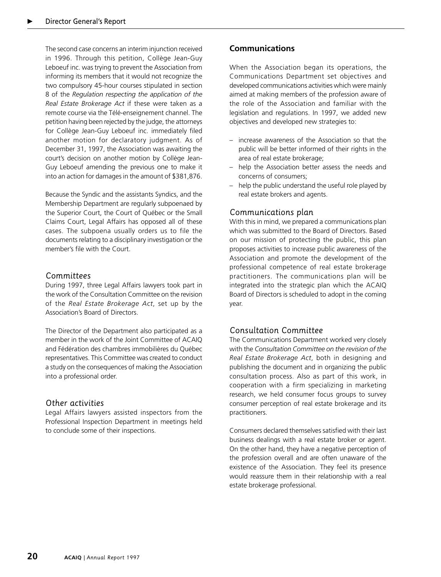The second case concerns an interim injunction received in 1996. Through this petition, Collège Jean-Guy Leboeuf inc. was trying to prevent the Association from informing its members that it would not recognize the two compulsory 45-hour courses stipulated in section 8 of the *Regulation respecting the application of the Real Estate Brokerage Act* if these were taken as a remote course via the Télé-enseignement channel. The petition having been rejected by the judge, the attorneys for Collège Jean-Guy Leboeuf inc. immediately filed another motion for declaratory judgment. As of December 31, 1997, the Association was awaiting the court's decision on another motion by Collège Jean-Guy Leboeuf amending the previous one to make it into an action for damages in the amount of \$381,876.

Because the Syndic and the assistants Syndics, and the Membership Department are regularly subpoenaed by the Superior Court, the Court of Québec or the Small Claims Court, Legal Affairs has opposed all of these cases. The subpoena usually orders us to file the documents relating to a disciplinary investigation or the member's file with the Court.

#### *Committees*

During 1997, three Legal Affairs lawyers took part in the work of the Consultation Committee on the revision of the *Real Estate Brokerage Act*, set up by the Association's Board of Directors.

The Director of the Department also participated as a member in the work of the Joint Committee of ACAIQ and Fédération des chambres immobilières du Québec representatives. This Committee was created to conduct a study on the consequences of making the Association into a professional order.

#### *Other activities*

Legal Affairs lawyers assisted inspectors from the Professional Inspection Department in meetings held to conclude some of their inspections.

# **Communications**

When the Association began its operations, the Communications Department set objectives and developed communications activities which were mainly aimed at making members of the profession aware of the role of the Association and familiar with the legislation and regulations. In 1997, we added new objectives and developed new strategies to:

- increase awareness of the Association so that the public will be better informed of their rights in the area of real estate brokerage;
- help the Association better assess the needs and concerns of consumers;
- help the public understand the useful role played by real estate brokers and agents.

### *Communications plan*

With this in mind, we prepared a communications plan which was submitted to the Board of Directors. Based on our mission of protecting the public, this plan proposes activities to increase public awareness of the Association and promote the development of the professional competence of real estate brokerage practitioners. The communications plan will be integrated into the strategic plan which the ACAIQ Board of Directors is scheduled to adopt in the coming year.

# *Consultation Committee*

The Communications Department worked very closely with the *Consultation Committee on the revision of the Real Estate Brokerage Act*, both in designing and publishing the document and in organizing the public consultation process. Also as part of this work, in cooperation with a firm specializing in marketing research, we held consumer focus groups to survey consumer perception of real estate brokerage and its practitioners.

Consumers declared themselves satisfied with their last business dealings with a real estate broker or agent. On the other hand, they have a negative perception of the profession overall and are often unaware of the existence of the Association. They feel its presence would reassure them in their relationship with a real estate brokerage professional.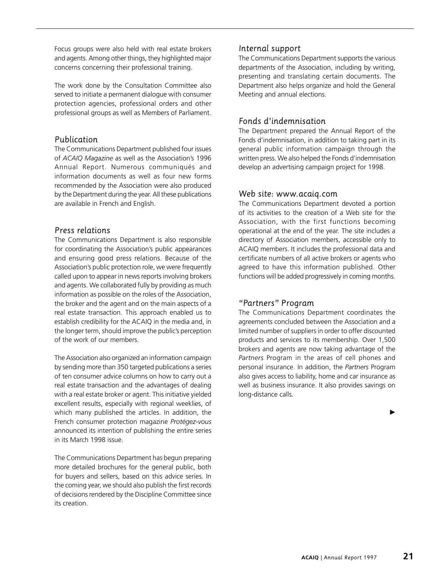Focus groups were also held with real estate brokers and agents. Among other things, they highlighted major concerns concerning their professional training.

The work done by the Consultation Committee also served to initiate a permanent dialogue with consumer protection agencies, professional orders and other professional groups as well as Members of Parliament.

# *Publication*

The Communications Department published four issues of *ACAIQ Magazine* as well as the Association's 1996 Annual Report. Numerous communiqués and information documents as well as four new forms recommended by the Association were also produced by the Department during the year. All these publications are available in French and English.

# *Press relations*

The Communications Department is also responsible for coordinating the Association's public appearances and ensuring good press relations. Because of the Association's public protection role, we were frequently called upon to appear in news reports involving brokers and agents. We collaborated fully by providing as much information as possible on the roles of the Association, the broker and the agent and on the main aspects of a real estate transaction. This approach enabled us to establish credibility for the ACAIQ in the media and, in the longer term, should improve the public's perception of the work of our members.

The Association also organized an information campaign by sending more than 350 targeted publications a series of ten consumer advice columns on how to carry out a real estate transaction and the advantages of dealing with a real estate broker or agent. This initiative yielded excellent results, especially with regional weeklies, of which many published the articles. In addition, the French consumer protection magazine *Protégez-vous* announced its intention of publishing the entire series in its March 1998 issue.

The Communications Department has begun preparing more detailed brochures for the general public, both for buyers and sellers, based on this advice series. In the coming year, we should also publish the first records of decisions rendered by the Discipline Committee since its creation.

# *Internal support*

The Communications Department supports the various departments of the Association, including by writing, presenting and translating certain documents. The Department also helps organize and hold the General Meeting and annual elections.

# *Fonds d'indemnisation*

The Department prepared the Annual Report of the Fonds d'indemnisation, in addition to taking part in its general public information campaign through the written press. We also helped the Fonds d'indemnisation develop an advertising campaign project for 1998.

### *Web site: www.acaiq.com*

The Communications Department devoted a portion of its activities to the creation of a Web site for the Association, with the first functions becoming operational at the end of the year. The site includes a directory of Association members, accessible only to ACAIQ members. It includes the professional data and certificate numbers of all active brokers or agents who agreed to have this information published. Other functions will be added progressively in coming months.

# *"Partners" Program*

The Communications Department coordinates the agreements concluded between the Association and a limited number of suppliers in order to offer discounted products and services to its membership. Over 1,500 brokers and agents are now taking advantage of the *Partners* Program in the areas of cell phones and personal insurance. In addition, the *Partners* Program also gives access to liability, home and car insurance as well as business insurance. It also provides savings on long-distance calls.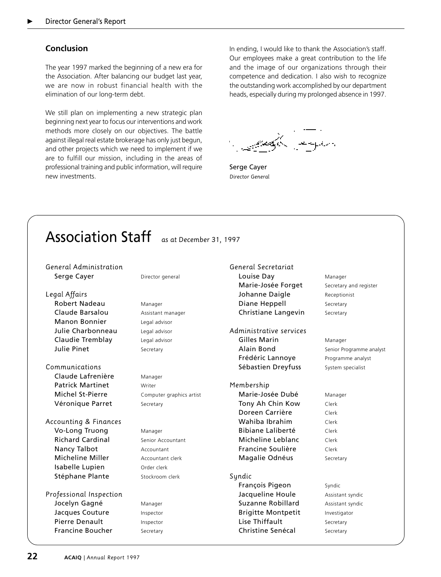# **Conclusion**

The year 1997 marked the beginning of a new era for the Association. After balancing our budget last year, we are now in robust financial health with the elimination of our long-term debt.

We still plan on implementing a new strategic plan beginning next year to focus our interventions and work methods more closely on our objectives. The battle against illegal real estate brokerage has only just begun, and other projects which we need to implement if we are to fulfill our mission, including in the areas of professional training and public information, will require new investments.

In ending, I would like to thank the Association's staff. Our employees make a great contribution to the life and the image of our organizations through their competence and dedication. I also wish to recognize the outstanding work accomplished by our department heads, especially during my prolonged absence in 1997.

والرقيهم عجاب

Serge Cayer *Director General*

# Association Staff *as at December 31, 1997*

*General Administration* Serge Cayer Director general

- *Legal Affairs* Robert Nadeau Manager Claude Barsalou **Assistant manager** Manon Bonnier Legal advisor Julie Charbonneau Legal advisor Claudie Tremblay Legal advisor Julie Pinet Secretary
- *Communications* Claude Lafrenière Manager Patrick Martinet Writer Véronique Parret Secretary
- *Accounting & Finances* Vo-Long Truong Manager Richard Cardinal Senior Accountant Nancy Talbot **Accountant** Micheline Miller **Accountant clerk** Isabelle Lupien Order clerk Stéphane Plante **Stockroom clerk**

*Professional Inspection* Jocelyn Gagné Manager Jacques Couture Inspector Pierre Denault Inspector Francine Boucher Secretary

**Michel St-Pierre** Computer graphics artist

*General Secretariat* Louise Day Manager Marie-Josée Forget Secretary and register Johanne Daigle Receptionist **Diane Heppell** Secretary Christiane Langevin Secretary

*Administrative services* Gilles Marin Manager Alain Bond Senior Programme analyst Frédéric Lannoye Programme analyst Sébastien Dreyfuss System specialist

*Membership* Marie-Josée Dubé Manager **Tony Ah Chin Kow** Clerk Doreen Carrière Clerk Wahiba Ibrahim Clerk Bibiane Laliberté Clerk Micheline Leblanc Clerk Francine Soulière Clerk Magalie Odnéus Secretary

#### *Syndic*

François Pigeon Syndic Jacqueline Houle **Assistant syndic Suzanne Robillard** Assistant syndic **Brigitte Montpetit** Investigator Lise Thiffault Secretary Christine Senécal Secretary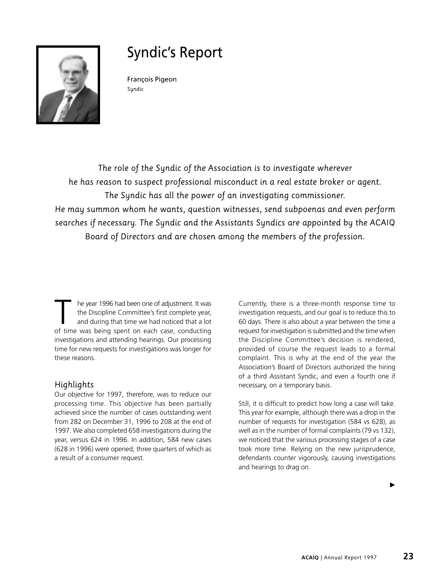

# Syndic's Report

François Pigeon *Syndic*

*The role of the Syndic of the Association is to investigate wherever he has reason to suspect professional misconduct in a real estate broker or agent. The Syndic has all the power of an investigating commissioner. He may summon whom he wants, question witnesses, send subpoenas and even perform searches if necessary. The Syndic and the Assistants Syndics are appointed by the ACAIQ Board of Directors and are chosen among the members of the profession.*

T he year 1996 had been one of adjustment. It was<br>the Discipline Committee's first complete year,<br>and during that time we had noticed that a lot<br>of time was being spent on each case, conducting the Discipline Committee's first complete year, and during that time we had noticed that a lot of time was being spent on each case, conducting investigations and attending hearings. Our processing time for new requests for investigations was longer for these reasons.

# *Highlights*

Our objective for 1997, therefore, was to reduce our processing time. This objective has been partially achieved since the number of cases outstanding went from 282 on December 31, 1996 to 208 at the end of 1997. We also completed 658 investigations during the year, versus 624 in 1996. In addition, 584 new cases (628 in 1996) were opened, three quarters of which as a result of a consumer request.

Currently, there is a three-month response time to investigation requests, and our goal is to reduce this to 60 days. There is also about a year between the time a request for investigation is submitted and the time when the Discipline Committee's decision is rendered, provided of course the request leads to a formal complaint. This is why at the end of the year the Association's Board of Directors authorized the hiring of a third Assistant Syndic, and even a fourth one if necessary, on a temporary basis.

Still, it is difficult to predict how long a case will take. This year for example, although there was a drop in the number of requests for investigation (584 vs 628), as well as in the number of formal complaints (79 vs 132), we noticed that the various processing stages of a case took more time. Relying on the new jurisprudence, defendants counter vigorously, causing investigations and hearings to drag on.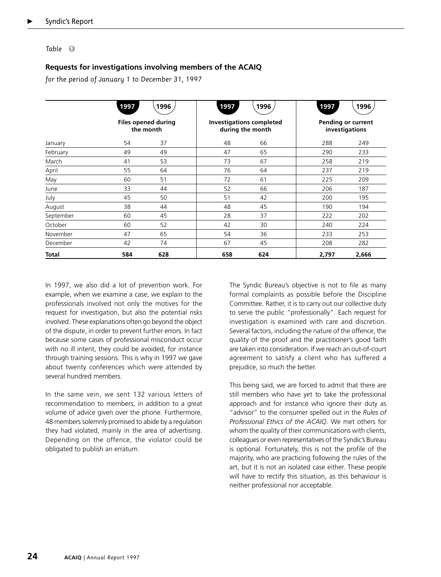#### *Table* **1**

### **Requests for investigations involving members of the ACAIQ**

*for the period of January 1 to December 31, 1997*

|              | 1997 | 1996                                    | 1997 | 1996                                                | 1997  | 1996                                 |
|--------------|------|-----------------------------------------|------|-----------------------------------------------------|-------|--------------------------------------|
|              |      | <b>Files opened during</b><br>the month |      | <b>Investigations completed</b><br>during the month |       | Pending or current<br>investigations |
| January      | 54   | 37                                      | 48   | 66                                                  | 288   | 249                                  |
| February     | 49   | 49                                      | 47   | 65                                                  | 290   | 233                                  |
| March        | 41   | 53                                      | 73   | 67                                                  | 258   | 219                                  |
| April        | 55   | 64                                      | 76   | 64                                                  | 237   | 219                                  |
| May          | 60   | 51                                      | 72   | 61                                                  | 225   | 209                                  |
| June         | 33   | 44                                      | 52   | 66                                                  | 206   | 187                                  |
| July         | 45   | 50                                      | 51   | 42                                                  | 200   | 195                                  |
| August       | 38   | 44                                      | 48   | 45                                                  | 190   | 194                                  |
| September    | 60   | 45                                      | 28   | 37                                                  | 222   | 202                                  |
| October      | 60   | 52                                      | 42   | 30                                                  | 240   | 224                                  |
| November     | 47   | 65                                      | 54   | 36                                                  | 233   | 253                                  |
| December     | 42   | 74                                      | 67   | 45                                                  | 208   | 282                                  |
| <b>Total</b> | 584  | 628                                     | 658  | 624                                                 | 2,797 | 2,666                                |

In 1997, we also did a lot of prevention work. For example, when we examine a case, we explain to the professionals involved not only the motives for the request for investigation, but also the potential risks involved. These explanations often go beyond the object of the dispute, in order to prevent further errors. In fact because some cases of professional misconduct occur with no ill intent, they could be avoided, for instance through training sessions. This is why in 1997 we gave about twenty conferences which were attended by several hundred members.

In the same vein, we sent 132 various letters of recommendation to members, in addition to a great volume of advice given over the phone. Furthermore, 48 members solemnly promised to abide by a regulation they had violated, mainly in the area of advertising. Depending on the offence, the violator could be obligated to publish an erratum.

The Syndic Bureau's objective is not to file as many formal complaints as possible before the Discipline Committee. Rather, it is to carry out our collective duty to serve the public "professionally". Each request for investigation is examined with care and discretion. Several factors, including the nature of the offence, the quality of the proof and the practitioner's good faith are taken into consideration. If we reach an out-of-court agreement to satisfy a client who has suffered a prejudice, so much the better.

This being said, we are forced to admit that there are still members who have yet to take the professional approach and for instance who ignore their duty as "advisor" to the consumer spelled out in the *Rules of Professional Ethics of the ACAIQ*. We met others for whom the quality of their communications with clients, colleagues or even representatives of the Syndic's Bureau is optional. Fortunately, this is not the profile of the majority, who are practicing following the rules of the art, but it is not an isolated case either. These people will have to rectify this situation, as this behaviour is neither professional nor acceptable.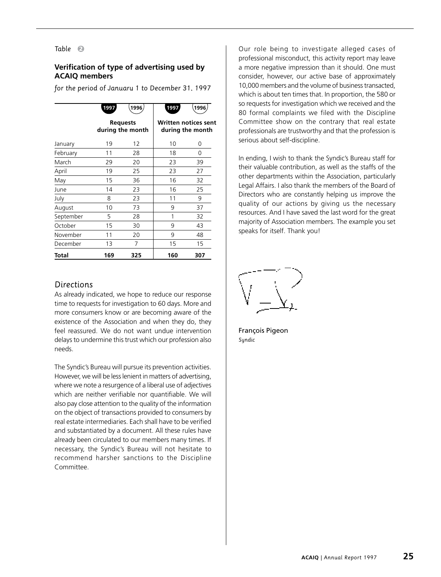#### *Table* **2**

#### **Verification of type of advertising used by ACAIQ members**

*for the period of January 1 to December 31, 1997*

|           | 1997 | 1996                                | 1997 | 1996                                            |
|-----------|------|-------------------------------------|------|-------------------------------------------------|
|           |      | <b>Requests</b><br>during the month |      | <b>Written notices sent</b><br>during the month |
| January   | 19   | 12                                  | 10   | 0                                               |
| February  | 11   | 28                                  | 18   | 0                                               |
| March     | 29   | 20                                  | 23   | 39                                              |
| April     | 19   | 25                                  | 23   | 27                                              |
| May       | 15   | 36                                  | 16   | 32                                              |
| June      | 14   | 23                                  | 16   | 25                                              |
| July      | 8    | 23                                  | 11   | 9                                               |
| August    | 10   | 73                                  | 9    | 37                                              |
| September | 5    | 28                                  | 1    | 32                                              |
| October   | 15   | 30                                  | 9    | 43                                              |
| November  | 11   | 20                                  | 9    | 48                                              |
| December  | 13   | 7                                   | 15   | 15                                              |
| Total     | 169  | 325                                 | 160  | 307                                             |

#### *Directions*

As already indicated, we hope to reduce our response time to requests for investigation to 60 days. More and more consumers know or are becoming aware of the existence of the Association and when they do, they feel reassured. We do not want undue intervention delays to undermine this trust which our profession also needs.

The Syndic's Bureau will pursue its prevention activities. However, we will be less lenient in matters of advertising, where we note a resurgence of a liberal use of adjectives which are neither verifiable nor quantifiable. We will also pay close attention to the quality of the information on the object of transactions provided to consumers by real estate intermediaries. Each shall have to be verified and substantiated by a document. All these rules have already been circulated to our members many times. If necessary, the Syndic's Bureau will not hesitate to recommend harsher sanctions to the Discipline Committee.

Our role being to investigate alleged cases of professional misconduct, this activity report may leave a more negative impression than it should. One must consider, however, our active base of approximately 10,000 members and the volume of business transacted, which is about ten times that. In proportion, the 580 or so requests for investigation which we received and the 80 formal complaints we filed with the Discipline Committee show on the contrary that real estate professionals are trustworthy and that the profession is serious about self-discipline.

In ending, I wish to thank the Syndic's Bureau staff for their valuable contribution, as well as the staffs of the other departments within the Association, particularly Legal Affairs. I also thank the members of the Board of Directors who are constantly helping us improve the quality of our actions by giving us the necessary resources. And I have saved the last word for the great majority of Association members. The example you set speaks for itself. Thank you!

François Pigeon *Syndic*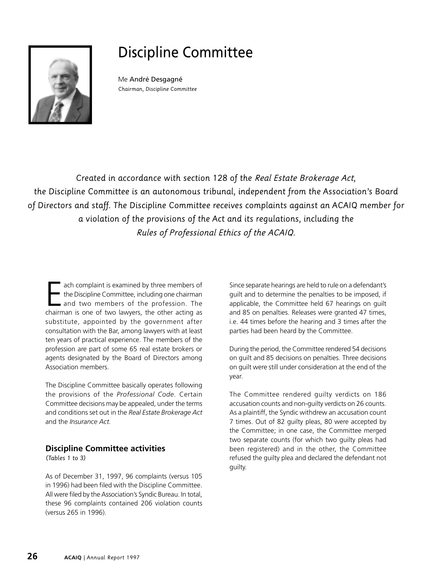

# Discipline Committee

Me André Desgagné *Chairman, Discipline Committee*

*Created in accordance with section 128 of the Real Estate Brokerage Act, the Discipline Committee is an autonomous tribunal, independent from the Association's Board of Directors and staff. The Discipline Committee receives complaints against an ACAIQ member for a violation of the provisions of the Act and its regulations, including the Rules of Professional Ethics of the ACAIQ.*

ach complaint is examined by three members of the Discipline Committee, including one chairman and two members of the profession. The chairman is one of two lawyers, the other acting as substitute, appointed by the government after consultation with the Bar, among lawyers with at least ten years of practical experience. The members of the profession are part of some 65 real estate brokers or agents designated by the Board of Directors among Association members.

The Discipline Committee basically operates following the provisions of the *Professional Code*. Certain Committee decisions may be appealed, under the terms and conditions set out in the *Real Estate Brokerage Act* and the *Insurance Act.*

# **Discipline Committee activities**

*(Tables 1 to 3)*

As of December 31, 1997, 96 complaints (versus 105 in 1996) had been filed with the Discipline Committee. All were filed by the Association's Syndic Bureau. In total, these 96 complaints contained 206 violation counts (versus 265 in 1996).

Since separate hearings are held to rule on a defendant's guilt and to determine the penalties to be imposed, if applicable, the Committee held 67 hearings on guilt and 85 on penalties. Releases were granted 47 times, i.e. 44 times before the hearing and 3 times after the parties had been heard by the Committee.

During the period, the Committee rendered 54 decisions on guilt and 85 decisions on penalties. Three decisions on guilt were still under consideration at the end of the year.

The Committee rendered guilty verdicts on 186 accusation counts and non-guilty verdicts on 26 counts. As a plaintiff, the Syndic withdrew an accusation count 7 times. Out of 82 guilty pleas, 80 were accepted by the Committee; in one case, the Committee merged two separate counts (for which two guilty pleas had been registered) and in the other, the Committee refused the guilty plea and declared the defendant not guilty.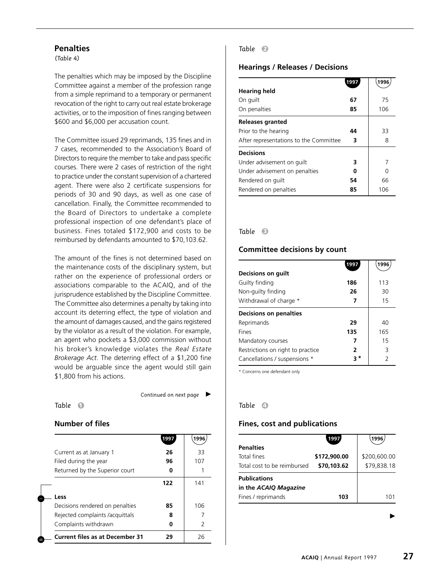#### **Penalties**

*(Table 4)*

The penalties which may be imposed by the Discipline Committee against a member of the profession range from a simple reprimand to a temporary or permanent revocation of the right to carry out real estate brokerage activities, or to the imposition of fines ranging between \$600 and \$6,000 per accusation count.

The Committee issued 29 reprimands, 135 fines and in 7 cases, recommended to the Association's Board of Directors to require the member to take and pass specific courses. There were 2 cases of restriction of the right to practice under the constant supervision of a chartered agent. There were also 2 certificate suspensions for periods of 30 and 90 days, as well as one case of cancellation. Finally, the Committee recommended to the Board of Directors to undertake a complete professional inspection of one defendant's place of business. Fines totaled \$172,900 and costs to be reimbursed by defendants amounted to \$70,103.62.

The amount of the fines is not determined based on the maintenance costs of the disciplinary system, but rather on the experience of professional orders or associations comparable to the ACAIQ, and of the jurisprudence established by the Discipline Committee. The Committee also determines a penalty by taking into account its deterring effect, the type of violation and the amount of damages caused, and the gains registered by the violator as a result of the violation. For example, an agent who pockets a \$3,000 commission without his broker's knowledge violates the *Real Estate Brokerage Act*. The deterring effect of a \$1,200 fine would be arguable since the agent would still gain \$1,800 from his actions.

*Table* **1**

*Continued on next page*

#### **Number of files**

|                                        | 1997 | 1996          |
|----------------------------------------|------|---------------|
| Current as at January 1                | 26   | 33            |
| Filed during the year                  | 96   | 107           |
| Returned by the Superior court         |      |               |
|                                        | 122  | 141           |
| Less                                   |      |               |
| Decisions rendered on penalties        | 85   | 106           |
| Rejected complaints /acquittals        | 8    |               |
| Complaints withdrawn                   |      | $\mathcal{P}$ |
| <b>Current files as at December 31</b> | 29   | 26            |

### *Table* **2**

#### **Hearings / Releases / Decisions**

|                                        | 1997 | 1996 |
|----------------------------------------|------|------|
| <b>Hearing held</b>                    |      |      |
| On guilt                               | 67   | 75   |
| On penalties                           | 85   | 106  |
| <b>Releases granted</b>                |      |      |
| Prior to the hearing                   | 44   | 33   |
| After representations to the Committee | 3    | 8    |
| <b>Decisions</b>                       |      |      |
| Under advisement on quilt              | 3    | 7    |
| Under advisement on penalties          | U    | U    |
| Rendered on guilt                      | 54   | 66   |
| Rendered on penalties                  | 85   | 106  |

#### *Table* **3**

#### **Committee decisions by count**

|                                   | 1997 | 1996          |
|-----------------------------------|------|---------------|
| Decisions on guilt                |      |               |
| Guilty finding                    | 186  | 113           |
| Non-guilty finding                | 26   | 30            |
| Withdrawal of charge *            | 7    | 15            |
| <b>Decisions on penalties</b>     |      |               |
| Reprimands                        | 29   | 40            |
| <b>Fines</b>                      | 135  | 165           |
| Mandatory courses                 | 7    | 15            |
| Restrictions on right to practice | 2    | 3             |
| Cancellations / suspensions *     | * ج  | $\mathcal{P}$ |

\* Concerns one defendant only

#### *Table* **4**

#### **Fines, cost and publications**

|                             | 1997         | 1996         |
|-----------------------------|--------------|--------------|
| <b>Penalties</b>            |              |              |
| Total fines                 | \$172,900.00 | \$200,600.00 |
| Total cost to be reimbursed | \$70,103.62  | \$79,838.18  |
| <b>Publications</b>         |              |              |
| in the ACAIQ Magazine       |              |              |
| Fines / reprimands          | 103          | 1 ∩ 1        |
|                             |              |              |

▶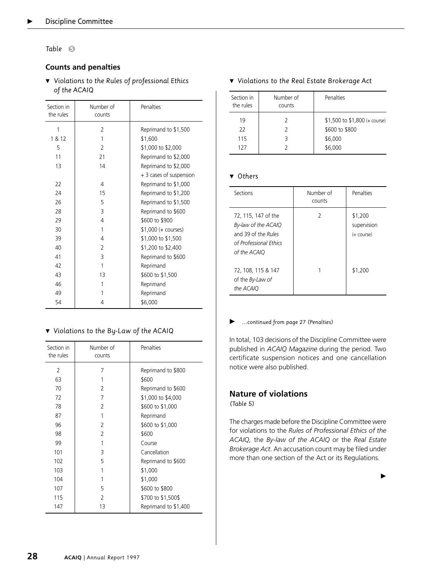*Table* **5**

#### **Counts and penalties**

▼ Violations to the Rules of professional Ethics *of the ACAIQ*

| Section in<br>the rules | Number of<br>counts | Penalties               |
|-------------------------|---------------------|-------------------------|
| 1                       | 2                   | Reprimand to \$1,500    |
| 1 & 12                  | 1                   | \$1,600                 |
| 5                       | $\mathfrak{D}$      | \$1,000 to \$2,000      |
| 11                      | 21                  | Reprimand to \$2,000    |
| 13                      | 14                  | Reprimand to \$2,000    |
|                         |                     | + 3 cases of suspension |
| 22                      | 4                   | Reprimand to \$1,000    |
| 24                      | 15                  | Reprimand to \$1,200    |
| 26                      | 5                   | Reprimand to \$1,500    |
| 28                      | 3                   | Reprimand to \$600      |
| 29                      | 4                   | \$600 to \$900          |
| 30                      | 1                   | \$1,000 (+ courses)     |
| 39                      | 4                   | \$1,000 to \$1,500      |
| 40                      | $\overline{2}$      | \$1,200 to \$2,400      |
| 41                      | 3                   | Reprimand to \$600      |
| 42                      | 1                   | Reprimand               |
| 43                      | 13                  | \$600 to \$1,500        |
| 46                      | 1                   | Reprimand               |
| 49                      | 1                   | Reprimand               |
| 54                      | 4                   | \$6,000                 |

#### - *Violations to the By-Law of the ACAIQ*

| Section in<br>the rules | Number of<br>counts | Penalties            |
|-------------------------|---------------------|----------------------|
| $\mathcal{P}$           | 7                   | Reprimand to \$800   |
| 63                      | 1                   | \$600                |
| 70                      | 2                   | Reprimand to \$600   |
| 72                      | 7                   | \$1,000 to \$4,000   |
| 78                      | 2                   | \$600 to \$1,000     |
| 87                      | 1                   | Reprimand            |
| 96                      | $\mathfrak{D}$      | \$600 to \$1,000     |
| 98                      | 2                   | \$600                |
| 99                      | 1                   | Course               |
| 101                     | 3                   | Cancellation         |
| 102                     | 5                   | Reprimand to \$600   |
| 103                     | 1                   | \$1,000              |
| 104                     | 1                   | \$1,000              |
| 107                     | 5                   | \$600 to \$800       |
| 115                     | 2                   | \$700 to \$1,500\$   |
| 147                     | 13                  | Reprimand to \$1,400 |

#### ▼ Violations to the Real Estate Brokerage Act

| Section in<br>the rules | Number of<br>counts | Penalties                                                               |
|-------------------------|---------------------|-------------------------------------------------------------------------|
| 19<br>22<br>115<br>127  |                     | $$1,500$ to $$1,800$ (+ course)<br>\$600 to \$800<br>\$6,000<br>\$6,000 |

#### ▼ Others

| Sections                                                                                                    | Number of<br>counts | Penalties                            |
|-------------------------------------------------------------------------------------------------------------|---------------------|--------------------------------------|
| 72, 115, 147 of the<br>By-law of the ACAIQ<br>and 39 of the Rules<br>of Professional Ethics<br>of the ACAIO | 2                   | \$1,200<br>supervision<br>(+ course) |
| 72, 108, 115 & 147<br>of the By-Law of<br>the ACAIQ                                                         |                     | \$1,200                              |

#### *…continued from page 27 (Penalties)*

In total, 103 decisions of the Discipline Committee were published in *ACAIQ Magazine* during the period. Two certificate suspension notices and one cancellation notice were also published.

# **Nature of violations**

*(Table 5)*

The charges made before the Discipline Committee were for violations to the *Rules of Professional Ethics of the ACAIQ,* the *By-law of the ACAIQ* or the *Real Estate Brokerage Act*. An accusation count may be filed under more than one section of the Act or its Regulations.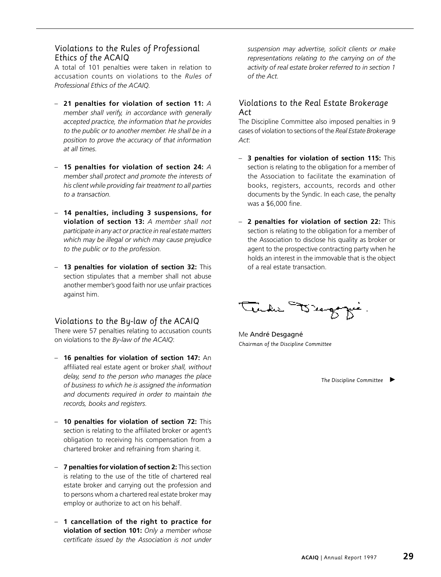### *Violations to the Rules of Professional Ethics of the ACAIQ*

A total of 101 penalties were taken in relation to accusation counts on violations to the *Rules of Professional Ethics of the ACAIQ.*

- **21 penalties for violation of section 11:** *A member shall verify, in accordance with generally accepted practice, the information that he provides to the public or to another member. He shall be in a position to prove the accuracy of that information at all times.*
- **15 penalties for violation of section 24:** *A member shall protect and promote the interests of his client while providing fair treatment to all parties to a transaction.*
- **14 penalties, including 3 suspensions, for violation of section 13:** *A member shall not participate in any act or practice in real estate matters which may be illegal or which may cause prejudice to the public or to the profession.*
- **13 penalties for violation of section 32:** This section stipulates that a member shall not abuse another member's good faith nor use unfair practices against him.

# *Violations to the By-law of the ACAIQ*

There were 57 penalties relating to accusation counts on violations to the *By-law of the ACAIQ*:

- **16 penalties for violation of section 147:** An affiliated real estate agent or broker *shall, without delay, send to the person who manages the place of business to which he is assigned the information and documents required in order to maintain the records, books and registers.*
- **10 penalties for violation of section 72:** This section is relating to the affiliated broker or agent's obligation to receiving his compensation from a chartered broker and refraining from sharing it.
- **7 penalties for violation of section 2:** This section is relating to the use of the title of chartered real estate broker and carrying out the profession and to persons whom a chartered real estate broker may employ or authorize to act on his behalf.
- **1 cancellation of the right to practice for violation of section 101:** *Only a member whose certificate issued by the Association is not under*

*suspension may advertise, solicit clients or make representations relating to the carrying on of the activity of real estate broker referred to in section 1 of the Act.*

# *Violations to the Real Estate Brokerage Act*

The Discipline Committee also imposed penalties in 9 cases of violation to sections of the *Real Estate Brokerage Act*:

- **3 penalties for violation of section 115:** This section is relating to the obligation for a member of the Association to facilitate the examination of books, registers, accounts, records and other documents by the Syndic. In each case, the penalty was a \$6,000 fine.
- **2 penalties for violation of section 22:** This section is relating to the obligation for a member of the Association to disclose his quality as broker or agent to the prospective contracting party when he holds an interest in the immovable that is the object of a real estate transaction.

مجوسمتركما

Me André Desgagné *Chairman of the Discipline Committee*

*The Discipline Committee*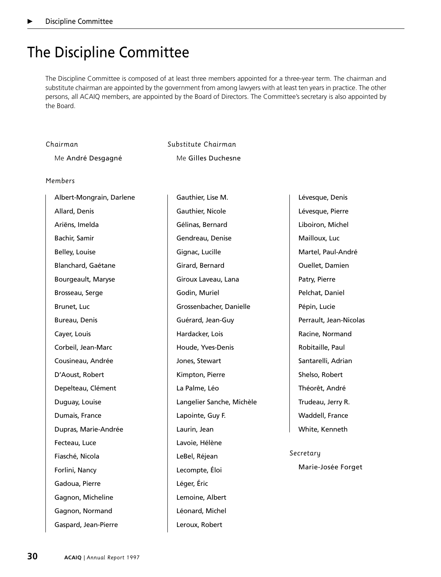# The Discipline Committee

The Discipline Committee is composed of at least three members appointed for a three-year term. The chairman and substitute chairman are appointed by the government from among lawyers with at least ten years in practice. The other persons, all ACAIQ members, are appointed by the Board of Directors. The Committee's secretary is also appointed by the Board.

| Chairman          | Substitute Chairman |
|-------------------|---------------------|
| Me André Desgagné | Me Gilles Duchesne  |

#### *Members*

| Albert-Mongrain, Darlene | Gauthier, Lise M.         | Lévesque, Denis        |
|--------------------------|---------------------------|------------------------|
| Allard, Denis            | Gauthier, Nicole          | Lévesque, Pierre       |
| Ariëns, Imelda           | Gélinas, Bernard          | Liboiron, Michel       |
| Bachir, Samir            | Gendreau, Denise          | Mailloux, Luc          |
| Belley, Louise           | Gignac, Lucille           | Martel, Paul-André     |
| Blanchard, Gaétane       | Girard, Bernard           | Ouellet, Damien        |
| Bourgeault, Maryse       | Giroux Laveau, Lana       | Patry, Pierre          |
| Brosseau, Serge          | Godin, Muriel             | Pelchat, Daniel        |
| Brunet, Luc              | Grossenbacher, Danielle   | Pépin, Lucie           |
| Bureau, Denis            | Guérard, Jean-Guy         | Perrault, Jean-Nicolas |
| Cayer, Louis             | Hardacker, Lois           | Racine, Normand        |
| Corbeil, Jean-Marc       | Houde, Yves-Denis         | Robitaille, Paul       |
| Cousineau, Andrée        | Jones, Stewart            | Santarelli, Adrian     |
| D'Aoust, Robert          | Kimpton, Pierre           | Shelso, Robert         |
| Depelteau, Clément       | La Palme, Léo             | Théorêt, André         |
| Duguay, Louise           | Langelier Sanche, Michèle | Trudeau, Jerry R.      |
| Dumais, France           | Lapointe, Guy F.          | Waddell, France        |
| Dupras, Marie-Andrée     | Laurin, Jean              | White, Kenneth         |
| Fecteau, Luce            | Lavoie, Hélène            |                        |
| Fiasché, Nicola          | LeBel, Réjean             | Secretary              |
| Forlini, Nancy           | Lecompte, Éloi            | Marie-Josée Forget     |
| Gadoua, Pierre           | Léger, Éric               |                        |
| Gagnon, Micheline        | Lemoine, Albert           |                        |
| Gagnon, Normand          | Léonard, Michel           |                        |
| Gaspard, Jean-Pierre     | Leroux, Robert            |                        |
|                          |                           |                        |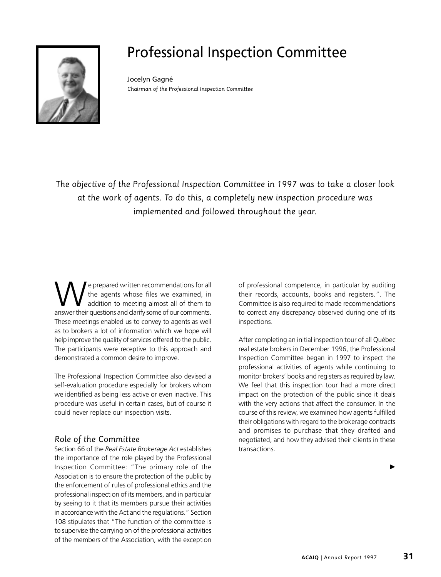

# Professional Inspection Committee

Jocelyn Gagné *Chairman of the Professional Inspection Committee*

*The objective of the Professional Inspection Committee in 1997 was to take a closer look at the work of agents. To do this, a completely new inspection procedure was implemented and followed throughout the year.*

We prepared written recommendations for all<br>the agents whose files we examined, in<br>answer their questions and clarify some of our comments the agents whose files we examined, in addition to meeting almost all of them to answer their questions and clarify some of our comments. These meetings enabled us to convey to agents as well as to brokers a lot of information which we hope will help improve the quality of services offered to the public. The participants were receptive to this approach and demonstrated a common desire to improve.

The Professional Inspection Committee also devised a self-evaluation procedure especially for brokers whom we identified as being less active or even inactive. This procedure was useful in certain cases, but of course it could never replace our inspection visits.

# *Role of the Committee*

Section 66 of the *Real Estate Brokerage Act* establishes the importance of the role played by the Professional Inspection Committee: "The primary role of the Association is to ensure the protection of the public by the enforcement of rules of professional ethics and the professional inspection of its members, and in particular by seeing to it that its members pursue their activities in accordance with the Act and the regulations." Section 108 stipulates that "The function of the committee is to supervise the carrying on of the professional activities of the members of the Association, with the exception

of professional competence, in particular by auditing their records, accounts, books and registers.". The Committee is also required to made recommendations to correct any discrepancy observed during one of its inspections.

After completing an initial inspection tour of all Québec real estate brokers in December 1996, the Professional Inspection Committee began in 1997 to inspect the professional activities of agents while continuing to monitor brokers' books and registers as required by law. We feel that this inspection tour had a more direct impact on the protection of the public since it deals with the very actions that affect the consumer. In the course of this review, we examined how agents fulfilled their obligations with regard to the brokerage contracts and promises to purchase that they drafted and negotiated, and how they advised their clients in these transactions.

 $\blacktriangleright$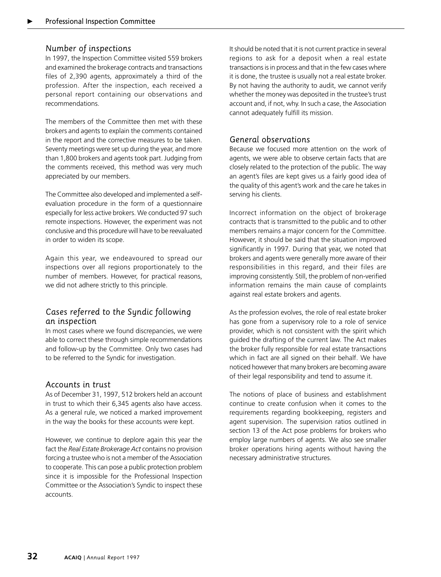### *Number of inspections*

In 1997, the Inspection Committee visited 559 brokers and examined the brokerage contracts and transactions files of 2,390 agents, approximately a third of the profession. After the inspection, each received a personal report containing our observations and recommendations.

The members of the Committee then met with these brokers and agents to explain the comments contained in the report and the corrective measures to be taken. Seventy meetings were set up during the year, and more than 1,800 brokers and agents took part. Judging from the comments received, this method was very much appreciated by our members.

The Committee also developed and implemented a selfevaluation procedure in the form of a questionnaire especially for less active brokers. We conducted 97 such remote inspections. However, the experiment was not conclusive and this procedure will have to be reevaluated in order to widen its scope.

Again this year, we endeavoured to spread our inspections over all regions proportionately to the number of members. However, for practical reasons, we did not adhere strictly to this principle.

# *Cases referred to the Syndic following an inspection*

In most cases where we found discrepancies, we were able to correct these through simple recommendations and follow-up by the Committee. Only two cases had to be referred to the Syndic for investigation.

#### *Accounts in trust*

As of December 31, 1997, 512 brokers held an account in trust to which their 6,345 agents also have access. As a general rule, we noticed a marked improvement in the way the books for these accounts were kept.

However, we continue to deplore again this year the fact the *Real Estate Brokerage Act* contains no provision forcing a trustee who is not a member of the Association to cooperate. This can pose a public protection problem since it is impossible for the Professional Inspection Committee or the Association's Syndic to inspect these accounts.

It should be noted that it is not current practice in several regions to ask for a deposit when a real estate transactions is in process and that in the few cases where it is done, the trustee is usually not a real estate broker. By not having the authority to audit, we cannot verify whether the money was deposited in the trustee's trust account and, if not, why. In such a case, the Association cannot adequately fulfill its mission.

# *General observations*

Because we focused more attention on the work of agents, we were able to observe certain facts that are closely related to the protection of the public. The way an agent's files are kept gives us a fairly good idea of the quality of this agent's work and the care he takes in serving his clients.

Incorrect information on the object of brokerage contracts that is transmitted to the public and to other members remains a major concern for the Committee. However, it should be said that the situation improved significantly in 1997. During that year, we noted that brokers and agents were generally more aware of their responsibilities in this regard, and their files are improving consistently. Still, the problem of non-verified information remains the main cause of complaints against real estate brokers and agents.

As the profession evolves, the role of real estate broker has gone from a supervisory role to a role of service provider, which is not consistent with the spirit which guided the drafting of the current law. The Act makes the broker fully responsible for real estate transactions which in fact are all signed on their behalf. We have noticed however that many brokers are becoming aware of their legal responsibility and tend to assume it.

The notions of place of business and establishment continue to create confusion when it comes to the requirements regarding bookkeeping, registers and agent supervision. The supervision ratios outlined in section 13 of the Act pose problems for brokers who employ large numbers of agents. We also see smaller broker operations hiring agents without having the necessary administrative structures.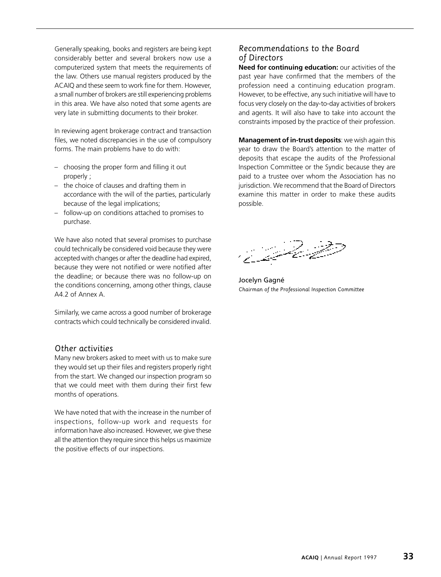Generally speaking, books and registers are being kept considerably better and several brokers now use a computerized system that meets the requirements of the law. Others use manual registers produced by the ACAIQ and these seem to work fine for them. However, a small number of brokers are still experiencing problems in this area. We have also noted that some agents are very late in submitting documents to their broker.

In reviewing agent brokerage contract and transaction files, we noted discrepancies in the use of compulsory forms. The main problems have to do with:

- choosing the proper form and filling it out properly ;
- the choice of clauses and drafting them in accordance with the will of the parties, particularly because of the legal implications;
- follow-up on conditions attached to promises to purchase.

We have also noted that several promises to purchase could technically be considered void because they were accepted with changes or after the deadline had expired, because they were not notified or were notified after the deadline; or because there was no follow-up on the conditions concerning, among other things, clause A4.2 of Annex A.

Similarly, we came across a good number of brokerage contracts which could technically be considered invalid.

#### *Other activities*

Many new brokers asked to meet with us to make sure they would set up their files and registers properly right from the start. We changed our inspection program so that we could meet with them during their first few months of operations.

We have noted that with the increase in the number of inspections, follow-up work and requests for information have also increased. However, we give these all the attention they require since this helps us maximize the positive effects of our inspections.

# *Recommendations to the Board of Directors*

**Need for continuing education:** our activities of the past year have confirmed that the members of the profession need a continuing education program. However, to be effective, any such initiative will have to focus very closely on the day-to-day activities of brokers and agents. It will also have to take into account the constraints imposed by the practice of their profession.

**Management of in-trust deposits**: we wish again this year to draw the Board's attention to the matter of deposits that escape the audits of the Professional Inspection Committee or the Syndic because they are paid to a trustee over whom the Association has no jurisdiction. We recommend that the Board of Directors examine this matter in order to make these audits possible.



Jocelyn Gagné *Chairman of the Professional Inspection Committee*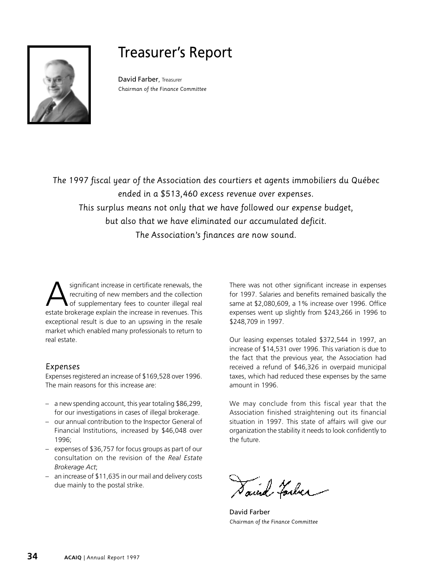

# Treasurer's Report

David Farber, Treasurer *Chairman of the Finance Committee*

*The 1997 fiscal year of the Association des courtiers et agents immobiliers du Québec ended in a \$513,460 excess revenue over expenses. This surplus means not only that we have followed our expense budget, but also that we have eliminated our accumulated deficit. The Association's finances are now sound.*

significant increase in certificate renewals, the recruiting of new members and the collection of supplementary fees to counter illegal real estate brokerage explain the increase in revenues. This exceptional result is due to an upswing in the resale market which enabled many professionals to return to real estate.

# *Expenses*

Expenses registered an increase of \$169,528 over 1996. The main reasons for this increase are:

- a new spending account, this year totaling \$86,299, for our investigations in cases of illegal brokerage.
- our annual contribution to the Inspector General of Financial Institutions, increased by \$46,048 over 1996;
- expenses of \$36,757 for focus groups as part of our consultation on the revision of the *Real Estate Brokerage Act*;
- an increase of \$11,635 in our mail and delivery costs due mainly to the postal strike.

There was not other significant increase in expenses for 1997. Salaries and benefits remained basically the same at \$2,080,609, a 1% increase over 1996. Office expenses went up slightly from \$243,266 in 1996 to \$248,709 in 1997.

Our leasing expenses totaled \$372,544 in 1997, an increase of \$14,531 over 1996. This variation is due to the fact that the previous year, the Association had received a refund of \$46,326 in overpaid municipal taxes, which had reduced these expenses by the same amount in 1996.

We may conclude from this fiscal year that the Association finished straightening out its financial situation in 1997. This state of affairs will give our organization the stability it needs to look confidently to the future.

Saind Farler

David Farber *Chairman of the Finance Committee*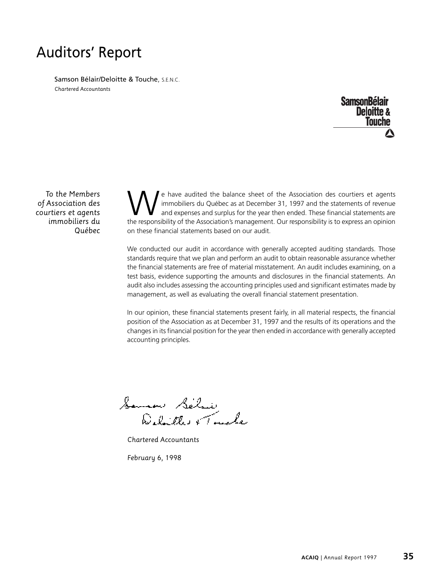# Auditors' Report

Samson Bélair/Deloitte & Touche, S.E.N.C. *Chartered Accountants*

> **SamsonBélair Deloitte & Touche**

*To the Members of Association des courtiers et agents immobiliers du Québec*

e have audited the balance sheet of the Association des courtiers et agents immobiliers du Québec as at December 31, 1997 and the statements of revenue and expenses and surplus for the year then ended. These financial statements are the responsibility of the Association's management. Our responsibility is to express an opinion on these financial statements based on our audit.

We conducted our audit in accordance with generally accepted auditing standards. Those standards require that we plan and perform an audit to obtain reasonable assurance whether the financial statements are free of material misstatement. An audit includes examining, on a test basis, evidence supporting the amounts and disclosures in the financial statements. An audit also includes assessing the accounting principles used and significant estimates made by management, as well as evaluating the overall financial statement presentation.

In our opinion, these financial statements present fairly, in all material respects, the financial position of the Association as at December 31, 1997 and the results of its operations and the changes in its financial position for the year then ended in accordance with generally accepted accounting principles.

Soman Selair<br>Delaithe e Tacale

*Chartered Accountants*

*February 6, 1998*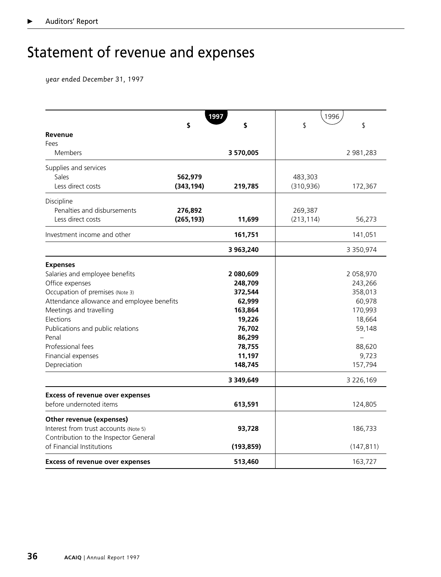# Statement of revenue and expenses

*year ended December 31, 1997*

|                                            |            | 1997       | 1996       |                 |
|--------------------------------------------|------------|------------|------------|-----------------|
|                                            | \$         | \$         | \$         | \$              |
| Revenue                                    |            |            |            |                 |
| Fees                                       |            |            |            |                 |
| Members                                    |            | 3570,005   |            | 2 981,283       |
| Supplies and services                      |            |            |            |                 |
| Sales                                      | 562,979    |            | 483,303    |                 |
| Less direct costs                          | (343, 194) | 219,785    | (310, 936) | 172,367         |
|                                            |            |            |            |                 |
| Discipline                                 |            |            |            |                 |
| Penalties and disbursements                | 276,892    |            | 269,387    |                 |
| Less direct costs                          | (265, 193) | 11,699     | (213, 114) | 56,273          |
| Investment income and other                |            | 161,751    |            | 141,051         |
|                                            |            | 3 963,240  |            | 3 3 5 0, 9 7 4  |
| <b>Expenses</b>                            |            |            |            |                 |
| Salaries and employee benefits             |            | 2 080,609  |            | 2 058,970       |
| Office expenses                            |            | 248,709    |            | 243,266         |
| Occupation of premises (Note 3)            |            | 372,544    |            | 358,013         |
| Attendance allowance and employee benefits |            | 62,999     |            | 60,978          |
| Meetings and travelling                    |            | 163,864    |            | 170,993         |
| Elections                                  |            | 19,226     |            | 18,664          |
| Publications and public relations          |            | 76,702     |            | 59,148          |
| Penal                                      |            | 86,299     |            |                 |
| Professional fees                          |            | 78,755     |            | 88,620          |
| Financial expenses                         |            | 11,197     |            | 9,723           |
| Depreciation                               |            | 148,745    |            | 157,794         |
|                                            |            | 3 349,649  |            | 3 2 2 6 , 1 6 9 |
| <b>Excess of revenue over expenses</b>     |            |            |            |                 |
| before undernoted items                    |            | 613,591    |            | 124,805         |
| Other revenue (expenses)                   |            |            |            |                 |
| Interest from trust accounts (Note 5)      |            | 93,728     |            | 186,733         |
| Contribution to the Inspector General      |            |            |            |                 |
| of Financial Institutions                  |            | (193, 859) |            | (147, 811)      |
| <b>Excess of revenue over expenses</b>     |            | 513,460    |            | 163,727         |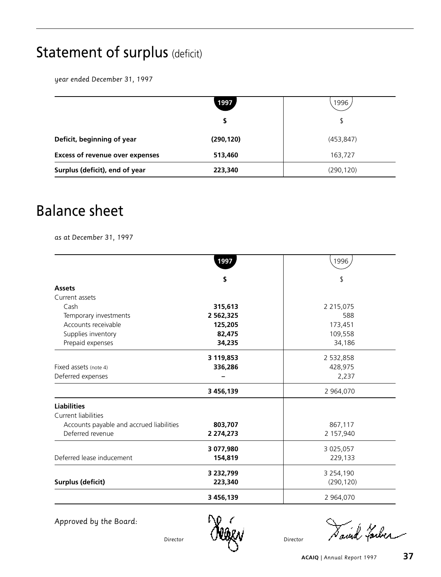# Statement of surplus (deficit)

*year ended December 31, 1997*

|                                        | 1997       | 1996       |
|----------------------------------------|------------|------------|
|                                        |            | S          |
| Deficit, beginning of year             | (290, 120) | (453, 847) |
| <b>Excess of revenue over expenses</b> | 513,460    | 163,727    |
| Surplus (deficit), end of year         | 223,340    | (290, 120) |

# Balance sheet

*as at December 31, 1997*

|                                          | 1997            | 1996            |
|------------------------------------------|-----------------|-----------------|
|                                          | \$              | \$              |
| <b>Assets</b>                            |                 |                 |
| Current assets                           |                 |                 |
| Cash                                     | 315,613         | 2 2 1 5 , 0 7 5 |
| Temporary investments                    | 2 5 6 2 , 3 2 5 | 588             |
| Accounts receivable                      | 125,205         | 173,451         |
| Supplies inventory                       | 82,475          | 109,558         |
| Prepaid expenses                         | 34,235          | 34,186          |
|                                          | 3 119,853       | 2 532,858       |
| Fixed assets (note 4)                    | 336,286         | 428,975         |
| Deferred expenses                        |                 | 2,237           |
|                                          | 3 456,139       | 2 964,070       |
| <b>Liabilities</b>                       |                 |                 |
| Current liabilities                      |                 |                 |
| Accounts payable and accrued liabilities | 803,707         | 867,117         |
| Deferred revenue                         | 2 274,273       | 2 157,940       |
|                                          | 3 077,980       | 3 025,057       |
| Deferred lease inducement                | 154,819         | 229,133         |
|                                          | 3 232,799       | 3 2 5 4 , 1 9 0 |
| <b>Surplus (deficit)</b>                 | 223,340         | (290, 120)      |
|                                          | 3 456,139       | 2 964,070       |

*Approved by the Board:*

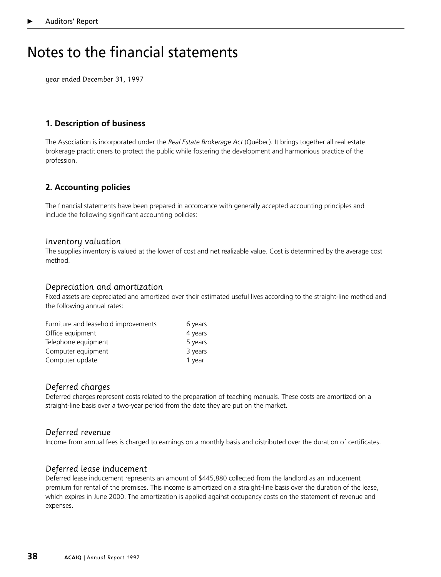# Notes to the financial statements

*year ended December 31, 1997*

# **1. Description of business**

The Association is incorporated under the *Real Estate Brokerage Act* (Québec). It brings together all real estate brokerage practitioners to protect the public while fostering the development and harmonious practice of the profession.

# **2. Accounting policies**

The financial statements have been prepared in accordance with generally accepted accounting principles and include the following significant accounting policies:

#### *Inventory valuation*

The supplies inventory is valued at the lower of cost and net realizable value. Cost is determined by the average cost method.

#### *Depreciation and amortization*

Fixed assets are depreciated and amortized over their estimated useful lives according to the straight-line method and the following annual rates:

| Furniture and leasehold improvements | 6 years |
|--------------------------------------|---------|
| Office equipment                     | 4 years |
| Telephone equipment                  | 5 years |
| Computer equipment                   | 3 years |
| Computer update                      | 1 year  |

# *Deferred charges*

Deferred charges represent costs related to the preparation of teaching manuals. These costs are amortized on a straight-line basis over a two-year period from the date they are put on the market.

#### *Deferred revenue*

Income from annual fees is charged to earnings on a monthly basis and distributed over the duration of certificates.

#### *Deferred lease inducement*

Deferred lease inducement represents an amount of \$445,880 collected from the landlord as an inducement premium for rental of the premises. This income is amortized on a straight-line basis over the duration of the lease, which expires in June 2000. The amortization is applied against occupancy costs on the statement of revenue and expenses.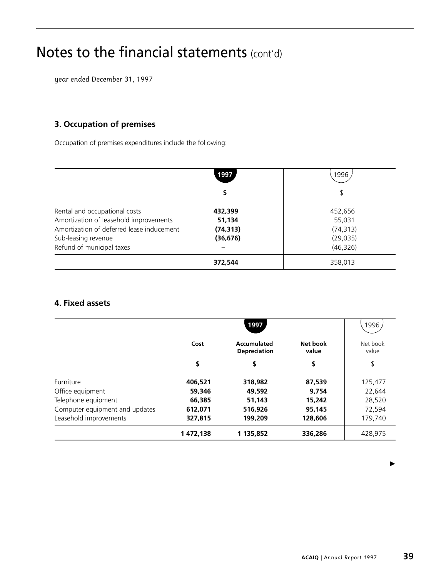# Notes to the financial statements (cont'd)

*year ended December 31, 1997*

# **3. Occupation of premises**

Occupation of premises expenditures include the following:

|                                           | 1997      | 1996      |
|-------------------------------------------|-----------|-----------|
|                                           |           | \$        |
| Rental and occupational costs             | 432,399   | 452,656   |
| Amortization of leasehold improvements    | 51,134    | 55,031    |
| Amortization of deferred lease inducement | (74, 313) | (74, 313) |
| Sub-leasing revenue                       | (36, 676) | (29, 035) |
| Refund of municipal taxes                 |           | (46, 326) |
|                                           | 372,544   | 358,013   |

# **4. Fixed assets**

|                                |          | 1997                                      |                   | 1996              |
|--------------------------------|----------|-------------------------------------------|-------------------|-------------------|
|                                | Cost     | <b>Accumulated</b><br><b>Depreciation</b> | Net book<br>value | Net book<br>value |
|                                | \$       | \$                                        | \$                | \$                |
| Furniture                      | 406,521  | 318,982                                   | 87,539            | 125,477           |
| Office equipment               | 59,346   | 49,592                                    | 9,754             | 22,644            |
| Telephone equipment            | 66,385   | 51,143                                    | 15,242            | 28,520            |
| Computer equipment and updates | 612,071  | 516,926                                   | 95,145            | 72,594            |
| Leasehold improvements         | 327,815  | 199,209                                   | 128,606           | 179,740           |
|                                | 1472,138 | 1 135,852                                 | 336,286           | 428,975           |

 $\blacktriangleright$